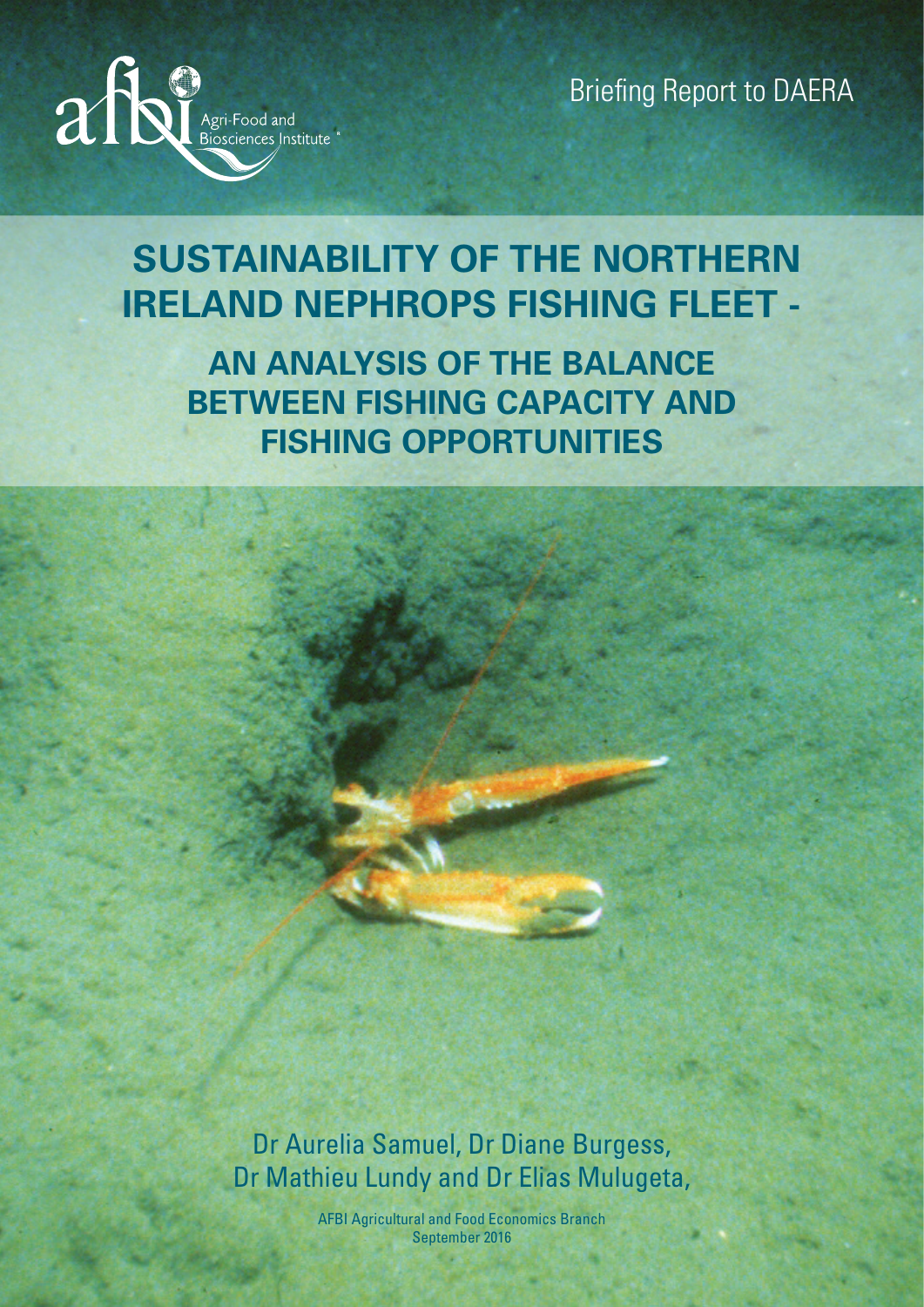

Briefing Report to DAERA

# **SUSTAINABILITY OF THE NORTHERN IRELAND NEPHROPS FISHING FLEET -**

**AN ANALYSIS OF THE BALANCE BETWEEN FISHING CAPACITY AND FISHING OPPORTUNITIES**

Dr Aurelia Samuel, Dr Diane Burgess, Dr Mathieu Lundy and Dr Elias Mulugeta,

> AFBI Agricultural and Food Economics Branch September 2016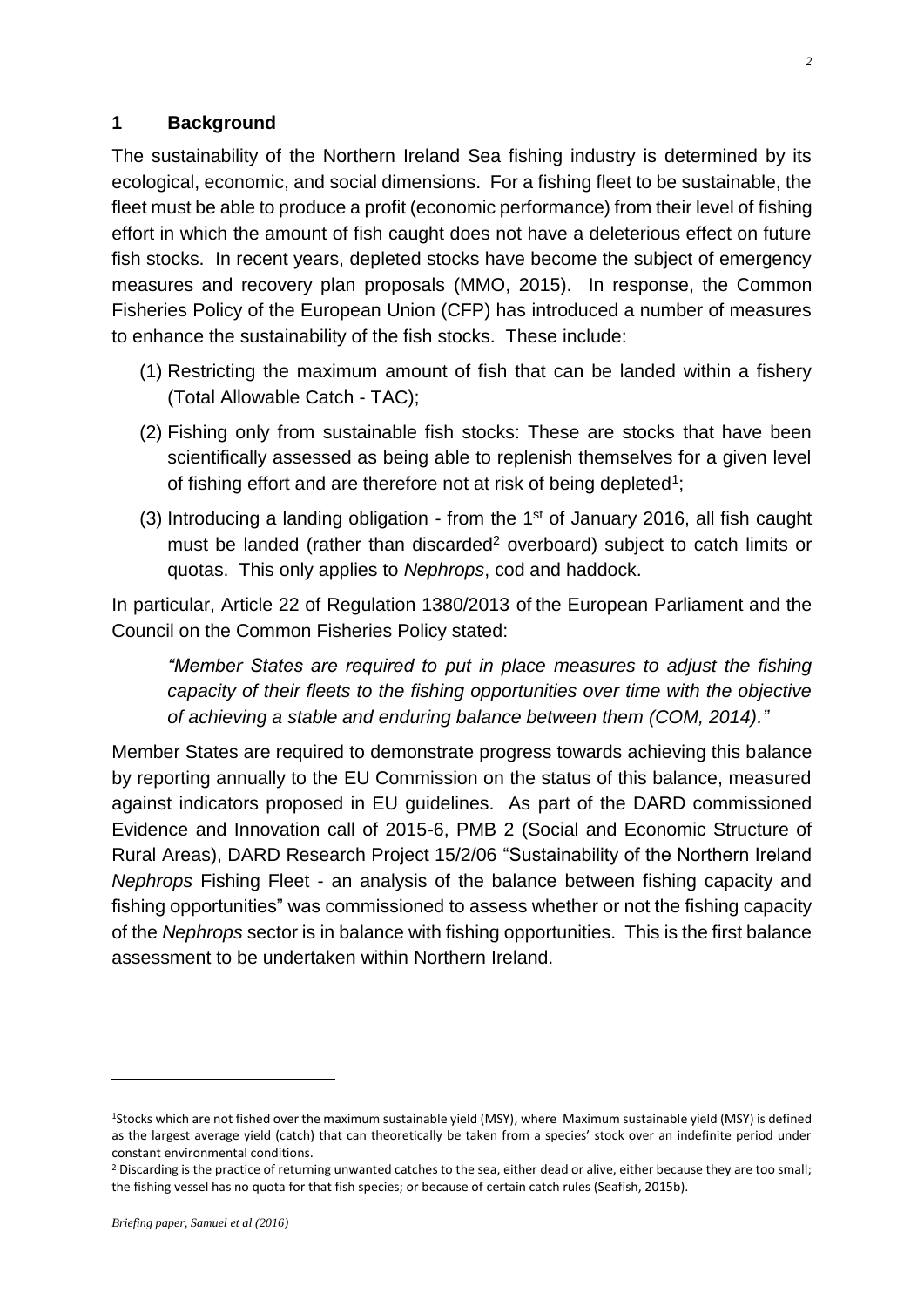#### **1 Background**

The sustainability of the Northern Ireland Sea fishing industry is determined by its ecological, economic, and social dimensions. For a fishing fleet to be sustainable, the fleet must be able to produce a profit (economic performance) from their level of fishing effort in which the amount of fish caught does not have a deleterious effect on future fish stocks. In recent years, depleted stocks have become the subject of emergency measures and recovery plan proposals (MMO, 2015). In response, the Common Fisheries Policy of the European Union (CFP) has introduced a number of measures to enhance the sustainability of the fish stocks. These include:

- (1) Restricting the maximum amount of fish that can be landed within a fishery (Total Allowable Catch - TAC);
- (2) Fishing only from sustainable fish stocks: These are stocks that have been scientifically assessed as being able to replenish themselves for a given level of fishing effort and are therefore not at risk of being depleted<sup>1</sup>;
- (3) Introducing a landing obligation from the 1st of January 2016, all fish caught must be landed (rather than discarded<sup>2</sup> overboard) subject to catch limits or quotas. This only applies to *Nephrops*, cod and haddock.

In particular, Article 22 of Regulation 1380/2013 of the European Parliament and the Council on the Common Fisheries Policy stated:

*"Member States are required to put in place measures to adjust the fishing capacity of their fleets to the fishing opportunities over time with the objective of achieving a stable and enduring balance between them [\(COM, 2014\)](#page-10-0)."*

Member States are required to demonstrate progress towards achieving this balance by reporting annually to the EU Commission on the status of this balance, measured against indicators proposed in EU guidelines. As part of the DARD commissioned Evidence and Innovation call of 2015-6, PMB 2 (Social and Economic Structure of Rural Areas), DARD Research Project 15/2/06 "Sustainability of the Northern Ireland *Nephrops* Fishing Fleet - an analysis of the balance between fishing capacity and fishing opportunities" was commissioned to assess whether or not the fishing capacity of the *Nephrops* sector is in balance with fishing opportunities. This is the first balance assessment to be undertaken within Northern Ireland.

<sup>1</sup>Stocks which are not fished over the maximum sustainable yield (MSY), where Maximum sustainable yield (MSY) is defined as the largest average yield (catch) that can theoretically be taken from a species' stock over an indefinite period under constant environmental conditions.

<sup>&</sup>lt;sup>2</sup> Discarding is the practice of returning unwanted catches to the sea, either dead or alive, either because they are too small; the fishing vessel has no quota for that fish species; or because of certain catch rules (Seafish, 2015b).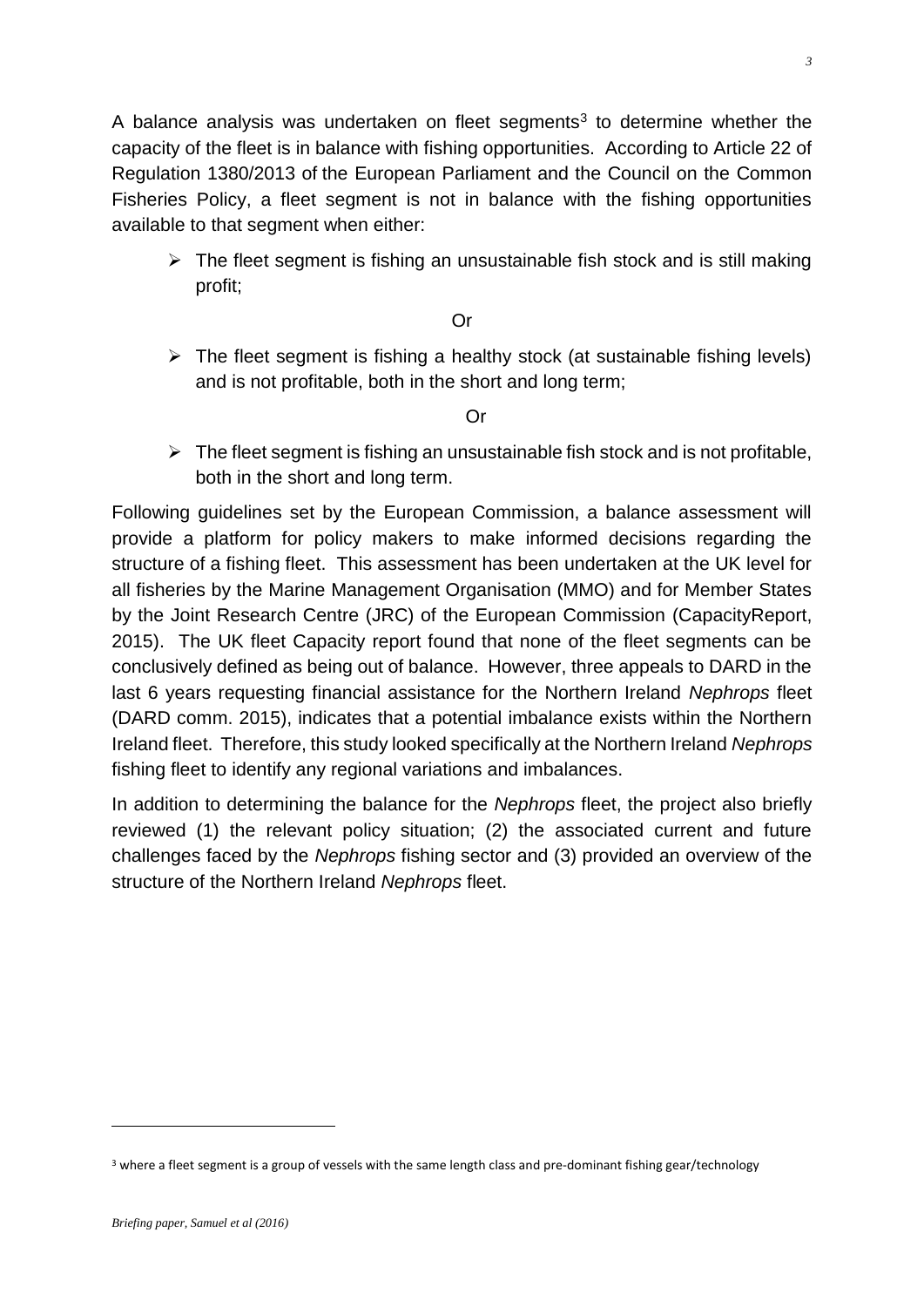A balance analysis was undertaken on fleet segments<sup>3</sup> to determine whether the capacity of the fleet is in balance with fishing opportunities. According to Article 22 of Regulation 1380/2013 of the European Parliament and the Council on the Common Fisheries Policy, a fleet segment is not in balance with the fishing opportunities available to that segment when either:

 $\triangleright$  The fleet segment is fishing an unsustainable fish stock and is still making profit;

Or

 $\triangleright$  The fleet segment is fishing a healthy stock (at sustainable fishing levels) and is not profitable, both in the short and long term;

Or

 $\triangleright$  The fleet segment is fishing an unsustainable fish stock and is not profitable, both in the short and long term.

Following guidelines set by the European Commission, a balance assessment will provide a platform for policy makers to make informed decisions regarding the structure of a fishing fleet. This assessment has been undertaken at the UK level for all fisheries by the Marine Management Organisation (MMO) and for Member States by the Joint Research Centre (JRC) of the European Commission (CapacityReport, 2015). The UK fleet Capacity report found that none of the fleet segments can be conclusively defined as being out of balance. However, three appeals to DARD in the last 6 years requesting financial assistance for the Northern Ireland *Nephrops* fleet (DARD comm. 2015), indicates that a potential imbalance exists within the Northern Ireland fleet. Therefore, this study looked specifically at the Northern Ireland *Nephrops* fishing fleet to identify any regional variations and imbalances.

In addition to determining the balance for the *Nephrops* fleet, the project also briefly reviewed (1) the relevant policy situation; (2) the associated current and future challenges faced by the *Nephrops* fishing sector and (3) provided an overview of the structure of the Northern Ireland *Nephrops* fleet.

*3*

<sup>&</sup>lt;sup>3</sup> where a fleet segment is a group of vessels with the same length class and pre-dominant fishing gear/technology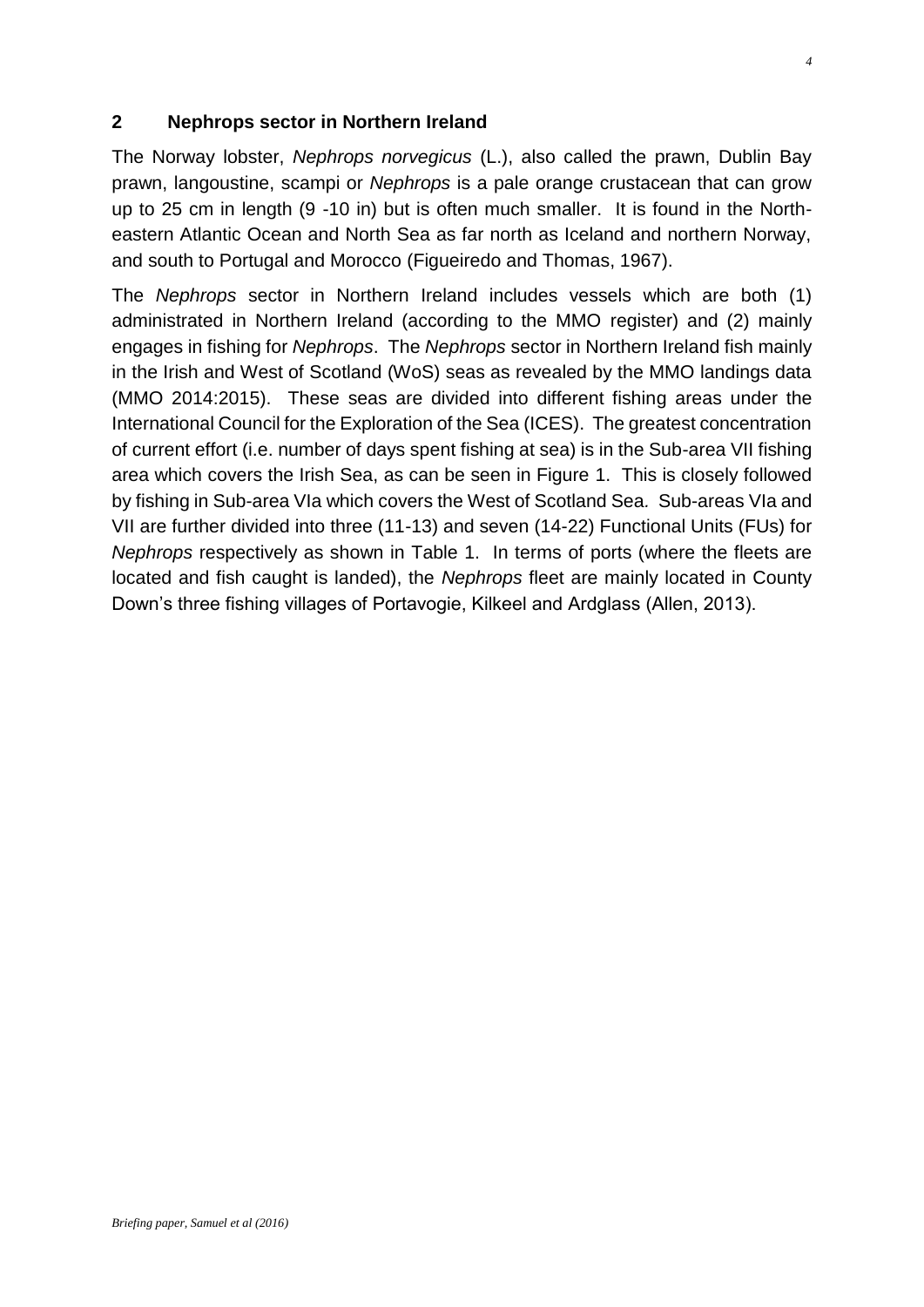#### **2 Nephrops sector in Northern Ireland**

The Norway lobster, *Nephrops norvegicus* (L.), also called the prawn, Dublin Bay prawn, langoustine, scampi or *Nephrops* is a pale orange crustacean that can grow up to 25 cm in length (9 -10 in) but is often much smaller. It is found in the Northeastern Atlantic Ocean and North Sea as far north as Iceland and northern Norway, and south to Portugal and Morocco (Figueiredo and Thomas, 1967).

The *Nephrops* sector in Northern Ireland includes vessels which are both (1) administrated in Northern Ireland (according to the MMO register) and (2) mainly engages in fishing for *Nephrops*. The *Nephrops* sector in Northern Ireland fish mainly in the Irish and West of Scotland (WoS) seas as revealed by the MMO landings data (MMO 2014:2015). These seas are divided into different fishing areas under the International Council for the Exploration of the Sea (ICES). The greatest concentration of current effort (i.e. number of days spent fishing at sea) is in the Sub-area VII fishing area which covers the Irish Sea, as can be seen in Figure 1. This is closely followed by fishing in Sub-area VIa which covers the West of Scotland Sea*.* Sub-areas VIa and VII are further divided into three (11-13) and seven (14-22) Functional Units (FUs) for *Nephrops* respectively as shown in Table 1. In terms of ports (where the fleets are located and fish caught is landed), the *Nephrops* fleet are mainly located in County Down's three fishing villages of Portavogie, Kilkeel and Ardglass (Allen, 2013).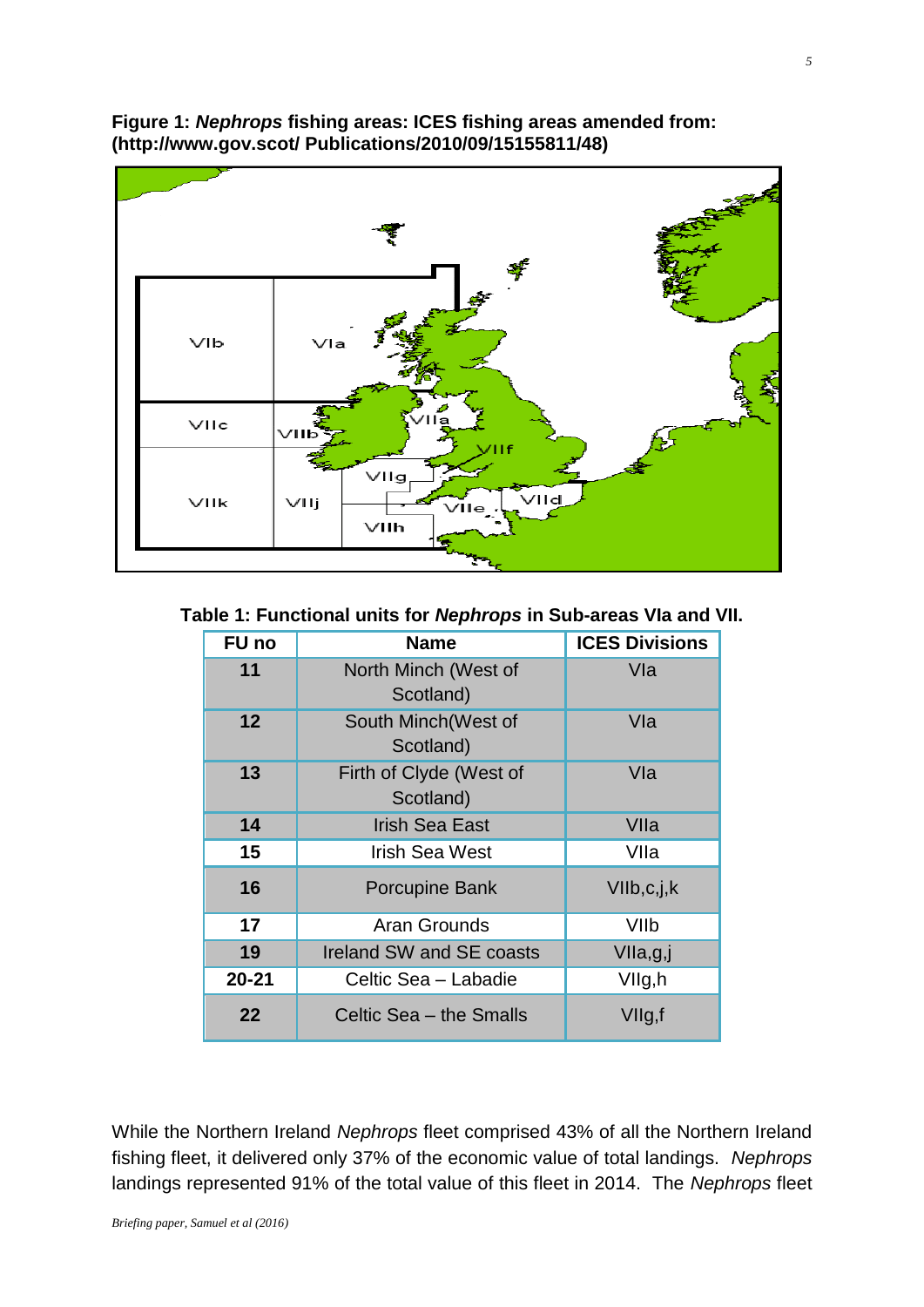

#### **Figure 1:** *Nephrops* **fishing areas: ICES fishing areas amended from: (http://www.gov.scot/ Publications/2010/09/15155811/48)**

**Table 1: Functional units for** *Nephrops* **in Sub-areas VIa and VII.**

| <b>FU</b> no | <b>Name</b>                          | <b>ICES Divisions</b> |  |
|--------------|--------------------------------------|-----------------------|--|
| 11           | North Minch (West of<br>Scotland)    | Vla                   |  |
| 12           | South Minch(West of<br>Scotland)     | Vla                   |  |
| 13           | Firth of Clyde (West of<br>Scotland) | Vla                   |  |
| 14           | <b>Irish Sea East</b>                | VIIa                  |  |
| 15           | <b>Irish Sea West</b>                | VIIa                  |  |
| 16           | <b>Porcupine Bank</b>                | VIIb,c,j,k            |  |
| 17           | Aran Grounds                         | VIIb                  |  |
| 19           | Ireland SW and SE coasts             | VIIa,g,j              |  |
| $20 - 21$    | Celtic Sea - Labadie                 | VIIg,h                |  |
| 22           | Celtic Sea - the Smalls              | VIIg,f                |  |

While the Northern Ireland *Nephrops* fleet comprised 43% of all the Northern Ireland fishing fleet, it delivered only 37% of the economic value of total landings. *Nephrops* landings represented 91% of the total value of this fleet in 2014. The *Nephrops* fleet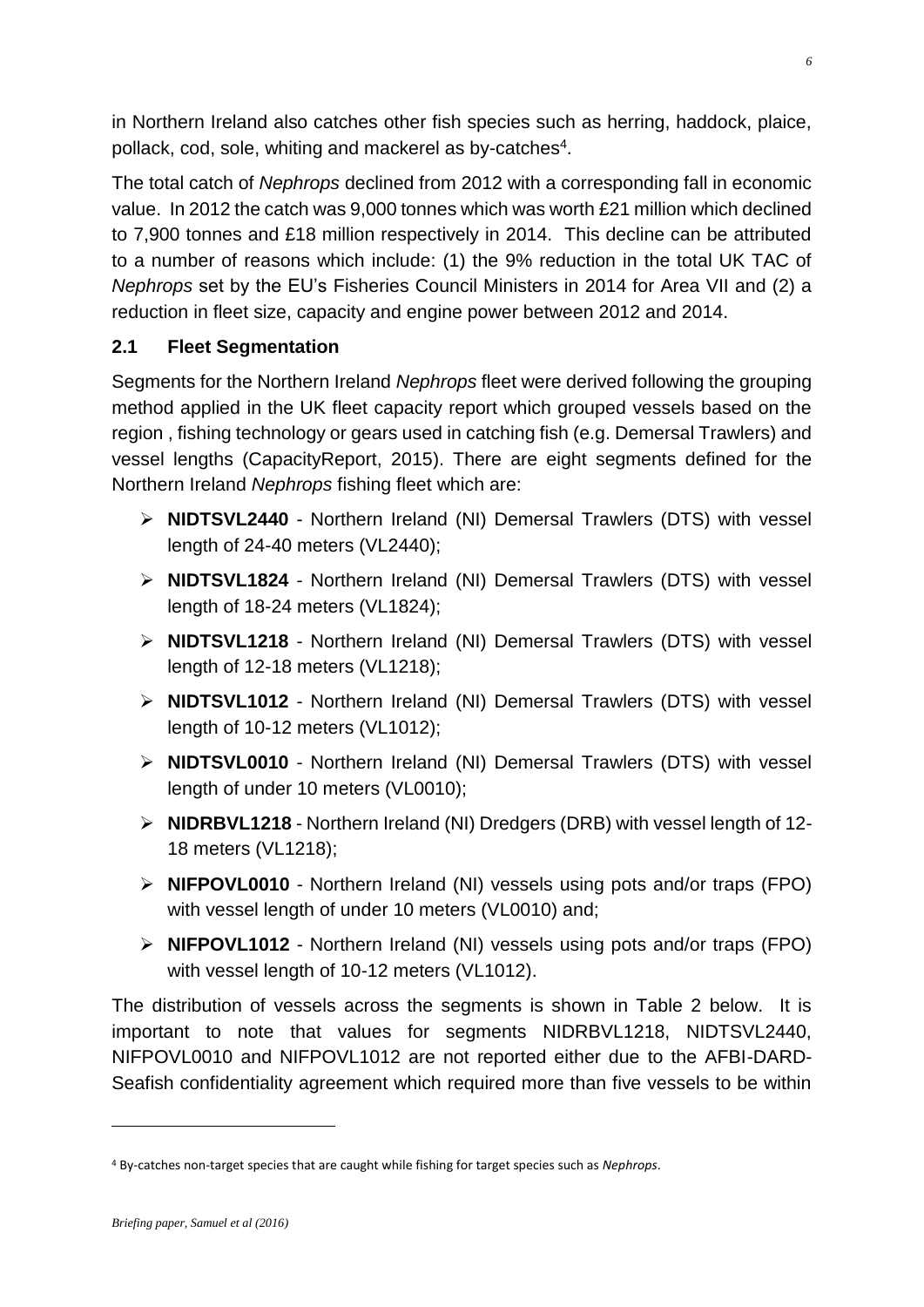in Northern Ireland also catches other fish species such as herring, haddock, plaice, pollack, cod, sole, whiting and mackerel as by-catches<sup>4</sup>.

The total catch of *Nephrops* declined from 2012 with a corresponding fall in economic value. In 2012 the catch was 9,000 tonnes which was worth £21 million which declined to 7,900 tonnes and £18 million respectively in 2014. This decline can be attributed to a number of reasons which include: (1) the 9% reduction in the total UK TAC of *Nephrops* set by the EU's Fisheries Council Ministers in 2014 for Area VII and (2) a reduction in fleet size, capacity and engine power between 2012 and 2014.

## **2.1 Fleet Segmentation**

Segments for the Northern Ireland *Nephrops* fleet were derived following the grouping method applied in the UK fleet capacity report which grouped vessels based on the region , fishing technology or gears used in catching fish (e.g. Demersal Trawlers) and vessel lengths (CapacityReport, 2015). There are eight segments defined for the Northern Ireland *Nephrops* fishing fleet which are:

- **NIDTSVL2440** Northern Ireland (NI) Demersal Trawlers (DTS) with vessel length of 24-40 meters (VL2440);
- **NIDTSVL1824** Northern Ireland (NI) Demersal Trawlers (DTS) with vessel length of 18-24 meters (VL1824);
- **NIDTSVL1218** Northern Ireland (NI) Demersal Trawlers (DTS) with vessel length of 12-18 meters (VL1218);
- **NIDTSVL1012** Northern Ireland (NI) Demersal Trawlers (DTS) with vessel length of 10-12 meters (VL1012);
- **NIDTSVL0010** Northern Ireland (NI) Demersal Trawlers (DTS) with vessel length of under 10 meters (VL0010);
- **NIDRBVL1218** Northern Ireland (NI) Dredgers (DRB) with vessel length of 12- 18 meters (VL1218);
- **NIFPOVL0010** Northern Ireland (NI) vessels using pots and/or traps (FPO) with vessel length of under 10 meters (VL0010) and;
- **NIFPOVL1012** Northern Ireland (NI) vessels using pots and/or traps (FPO) with vessel length of 10-12 meters (VL1012).

The distribution of vessels across the segments is shown in Table 2 below. It is important to note that values for segments NIDRBVL1218, NIDTSVL2440, NIFPOVL0010 and NIFPOVL1012 are not reported either due to the AFBI-DARD-Seafish confidentiality agreement which required more than five vessels to be within

<sup>4</sup> By-catches non-target species that are caught while fishing for target species such as *Nephrops*.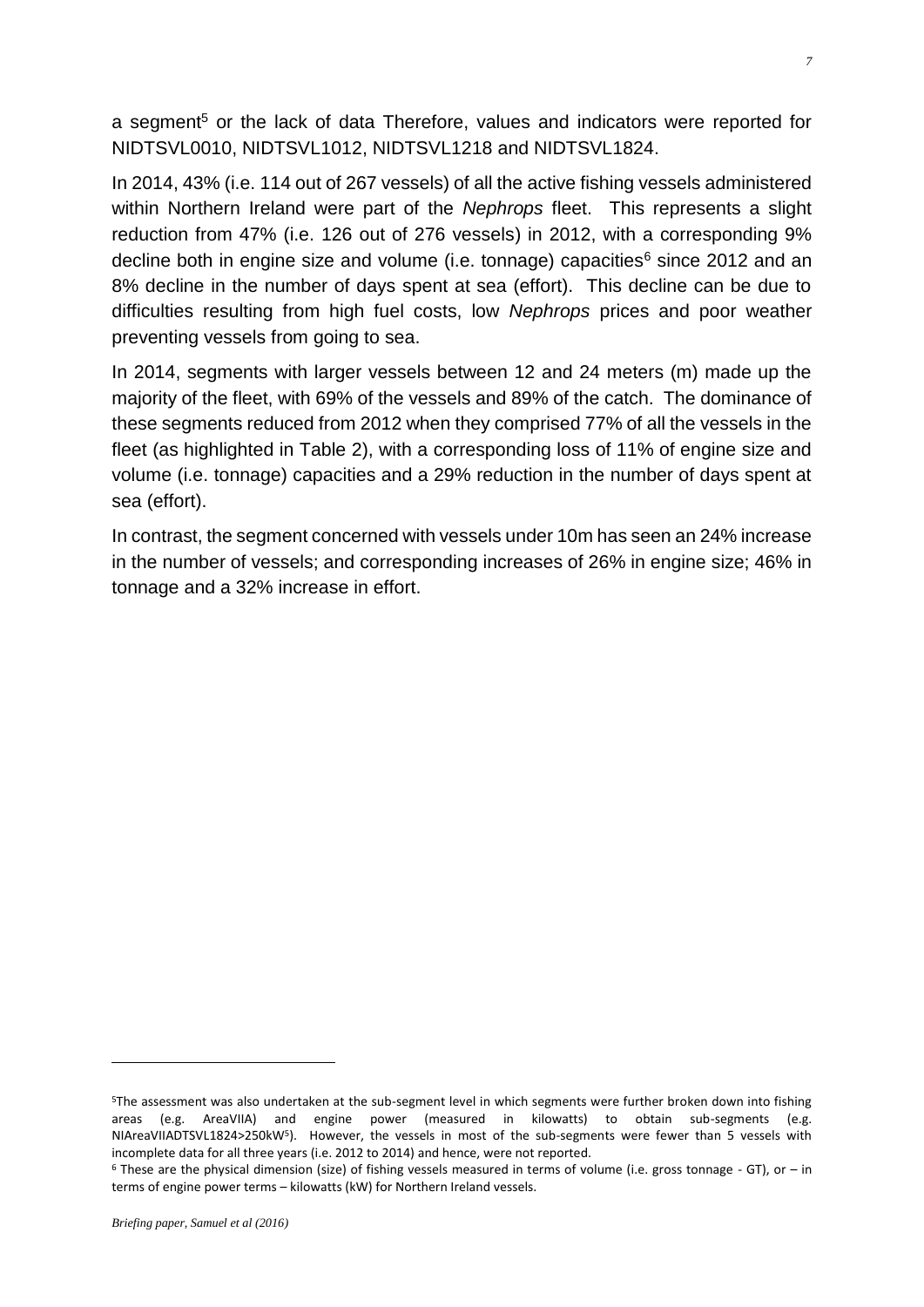a segment<sup>5</sup> or the lack of data Therefore, values and indicators were reported for NIDTSVL0010, NIDTSVL1012, NIDTSVL1218 and NIDTSVL1824.

In 2014, 43% (i.e. 114 out of 267 vessels) of all the active fishing vessels administered within Northern Ireland were part of the *Nephrops* fleet. This represents a slight reduction from 47% (i.e. 126 out of 276 vessels) in 2012, with a corresponding 9% decline both in engine size and volume (i.e. tonnage) capacities<sup>6</sup> since 2012 and an 8% decline in the number of days spent at sea (effort). This decline can be due to difficulties resulting from high fuel costs, low *Nephrops* prices and poor weather preventing vessels from going to sea.

In 2014, segments with larger vessels between 12 and 24 meters (m) made up the majority of the fleet, with 69% of the vessels and 89% of the catch. The dominance of these segments reduced from 2012 when they comprised 77% of all the vessels in the fleet (as highlighted in Table 2), with a corresponding loss of 11% of engine size and volume (i.e. tonnage) capacities and a 29% reduction in the number of days spent at sea (effort).

In contrast, the segment concerned with vessels under 10m has seen an 24% increase in the number of vessels; and corresponding increases of 26% in engine size; 46% in tonnage and a 32% increase in effort.

<u>.</u>

<sup>5</sup>The assessment was also undertaken at the sub-segment level in which segments were further broken down into fishing areas (e.g. AreaVIIA) and engine power (measured in kilowatts) to obtain sub-segments (e.g. NIAreaVIIADTSVL1824>250kW<sup>5</sup>). However, the vessels in most of the sub-segments were fewer than 5 vessels with incomplete data for all three years (i.e. 2012 to 2014) and hence, were not reported.

 $6$  These are the physical dimension (size) of fishing vessels measured in terms of volume (i.e. gross tonnage - GT), or – in terms of engine power terms – kilowatts (kW) for Northern Ireland vessels.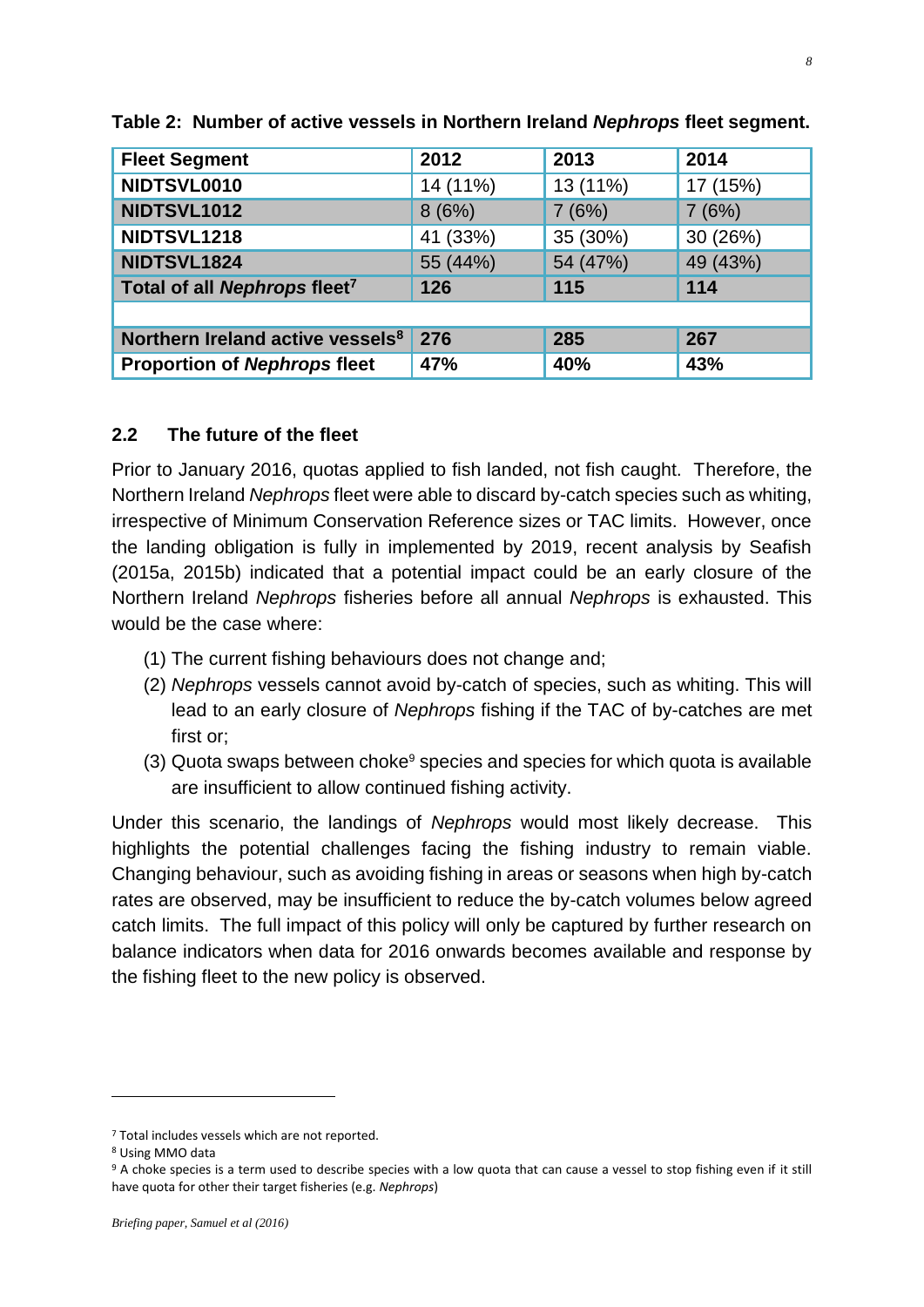| <b>Fleet Segment</b>                         | 2012     | 2013     | 2014     |
|----------------------------------------------|----------|----------|----------|
| NIDTSVL0010                                  | 14 (11%) | 13 (11%) | 17 (15%) |
| NIDTSVL1012                                  | 8(6%)    | 7(6%)    | 7(6%)    |
| NIDTSVL1218                                  | 41 (33%) | 35 (30%) | 30 (26%) |
| NIDTSVL1824                                  | 55 (44%) | 54 (47%) | 49 (43%) |
| Total of all Nephrops fleet <sup>7</sup>     | 126      | 115      | 114      |
|                                              |          |          |          |
| Northern Ireland active vessels <sup>8</sup> | 276      | 285      | 267      |
| <b>Proportion of Nephrops fleet</b>          | 47%      | 40%      | 43%      |

**Table 2: Number of active vessels in Northern Ireland** *Nephrops* **fleet segment.**

#### **2.2 The future of the fleet**

Prior to January 2016, quotas applied to fish landed, not fish caught. Therefore, the Northern Ireland *Nephrops* fleet were able to discard by-catch species such as whiting, irrespective of Minimum Conservation Reference sizes or TAC limits. However, once the landing obligation is fully in implemented by 2019, recent analysis by Seafish (2015a, 2015b) indicated that a potential impact could be an early closure of the Northern Ireland *Nephrops* fisheries before all annual *Nephrops* is exhausted. This would be the case where:

- (1) The current fishing behaviours does not change and;
- (2) *Nephrops* vessels cannot avoid by-catch of species, such as whiting. This will lead to an early closure of *Nephrops* fishing if the TAC of by-catches are met first or;
- $(3)$  Quota swaps between choke $9$  species and species for which quota is available are insufficient to allow continued fishing activity.

Under this scenario, the landings of *Nephrops* would most likely decrease. This highlights the potential challenges facing the fishing industry to remain viable. Changing behaviour, such as avoiding fishing in areas or seasons when high by-catch rates are observed, may be insufficient to reduce the by-catch volumes below agreed catch limits. The full impact of this policy will only be captured by further research on balance indicators when data for 2016 onwards becomes available and response by the fishing fleet to the new policy is observed.

<sup>&</sup>lt;sup>7</sup> Total includes vessels which are not reported.

<sup>8</sup> Using MMO data

<sup>9</sup> A choke species is a term used to describe species with a low quota that can cause a vessel to stop fishing even if it still have quota for other their target fisheries (e.g. *Nephrops*)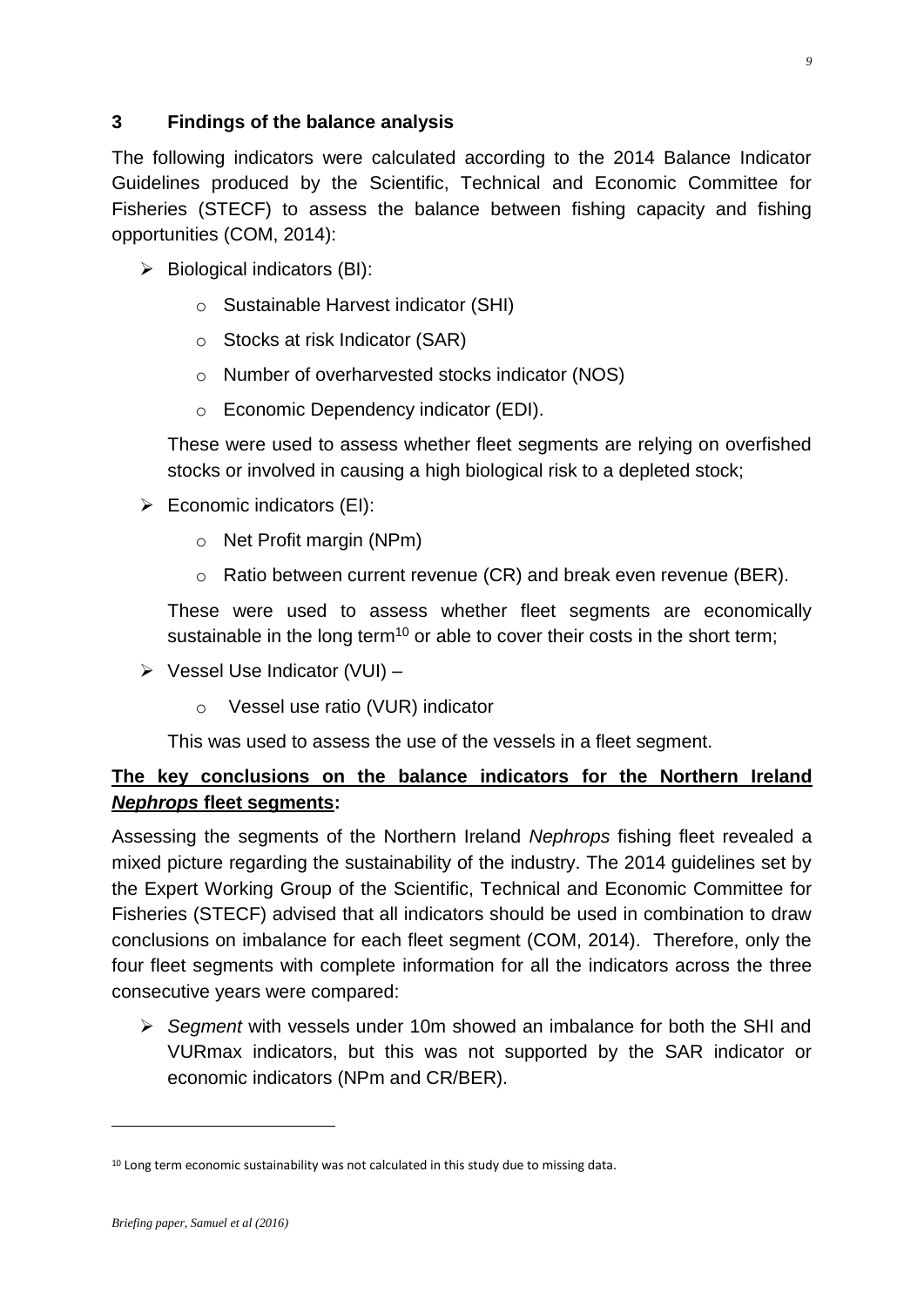### **3 Findings of the balance analysis**

The following indicators were calculated according to the 2014 Balance Indicator Guidelines produced by the Scientific, Technical and Economic Committee for Fisheries (STECF) to assess the balance between fishing capacity and fishing opportunities [\(COM, 2014\)](#page-10-0):

- $\triangleright$  Biological indicators (BI):
	- o Sustainable Harvest indicator (SHI)
	- o Stocks at risk Indicator (SAR)
	- o Number of overharvested stocks indicator (NOS)
	- o Economic Dependency indicator (EDI).

These were used to assess whether fleet segments are relying on overfished stocks or involved in causing a high biological risk to a depleted stock;

- $\triangleright$  Economic indicators (EI):
	- o Net Profit margin (NPm)
	- o Ratio between current revenue (CR) and break even revenue (BER).

These were used to assess whether fleet segments are economically sustainable in the long term<sup>10</sup> or able to cover their costs in the short term;

- $\triangleright$  Vessel Use Indicator (VUI)
	- o Vessel use ratio (VUR) indicator

This was used to assess the use of the vessels in a fleet segment.

# **The key conclusions on the balance indicators for the Northern Ireland**  *Nephrops* **fleet segments:**

Assessing the segments of the Northern Ireland *Nephrops* fishing fleet revealed a mixed picture regarding the sustainability of the industry. The 2014 guidelines set by the Expert Working Group of the Scientific, Technical and Economic Committee for Fisheries (STECF) advised that all indicators should be used in combination to draw conclusions on imbalance for each fleet segment (COM, 2014). Therefore, only the four fleet segments with complete information for all the indicators across the three consecutive years were compared:

 *Segment* with vessels under 10m showed an imbalance for both the SHI and VURmax indicators, but this was not supported by the SAR indicator or economic indicators (NPm and CR/BER).

<sup>&</sup>lt;sup>10</sup> Long term economic sustainability was not calculated in this study due to missing data.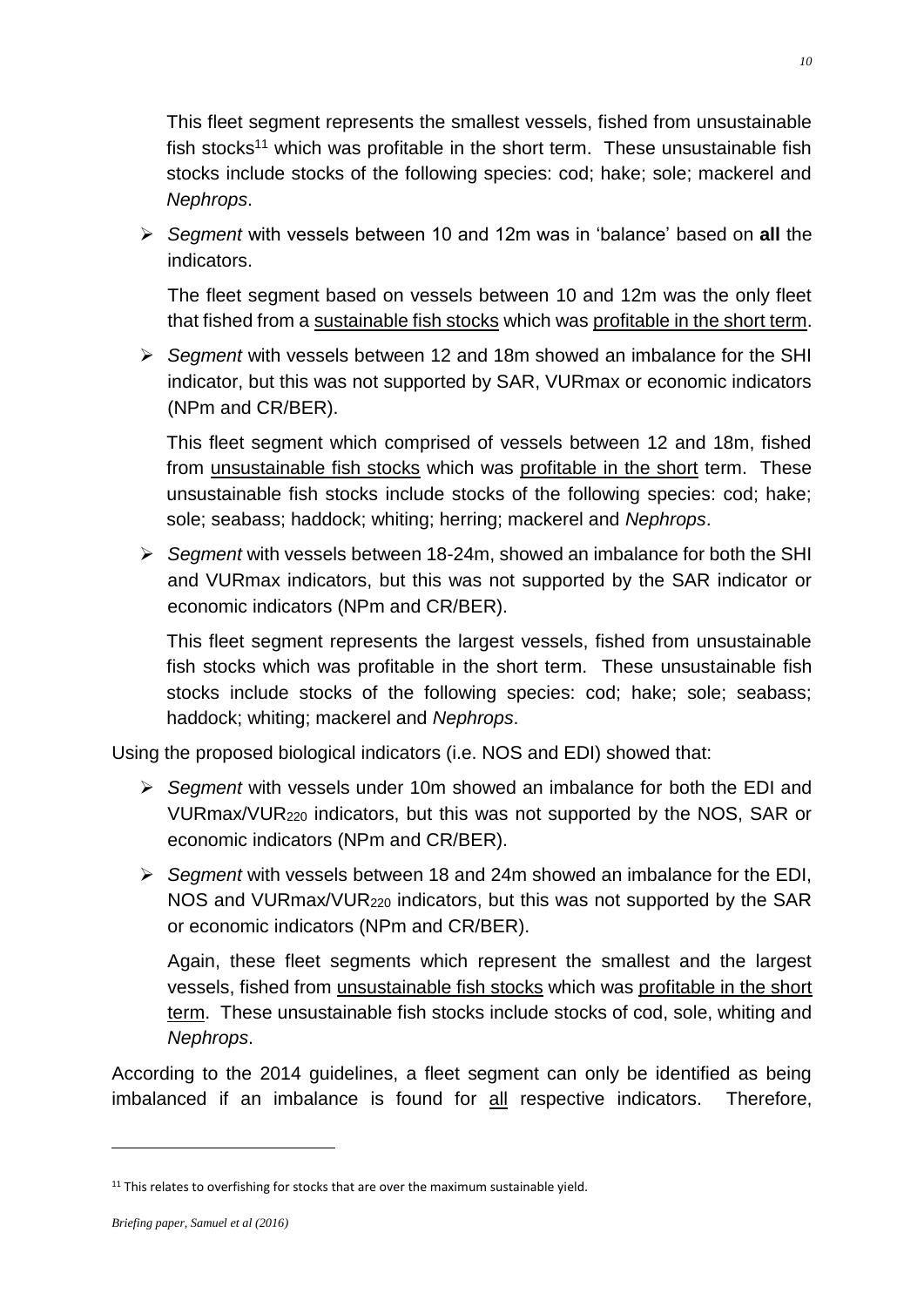This fleet segment represents the smallest vessels, fished from unsustainable fish stocks<sup>11</sup> which was profitable in the short term. These unsustainable fish stocks include stocks of the following species: cod; hake; sole; mackerel and *Nephrops*.

 *Segment* with vessels between 10 and 12m was in 'balance' based on **all** the indicators.

The fleet segment based on vessels between 10 and 12m was the only fleet that fished from a sustainable fish stocks which was profitable in the short term.

 *Segment* with vessels between 12 and 18m showed an imbalance for the SHI indicator, but this was not supported by SAR, VURmax or economic indicators (NPm and CR/BER).

This fleet segment which comprised of vessels between 12 and 18m, fished from unsustainable fish stocks which was profitable in the short term. These unsustainable fish stocks include stocks of the following species: cod; hake; sole; seabass; haddock; whiting; herring; mackerel and *Nephrops*.

 *Segment* with vessels between 18-24m, showed an imbalance for both the SHI and VURmax indicators, but this was not supported by the SAR indicator or economic indicators (NPm and CR/BER).

This fleet segment represents the largest vessels, fished from unsustainable fish stocks which was profitable in the short term. These unsustainable fish stocks include stocks of the following species: cod; hake; sole; seabass; haddock; whiting; mackerel and *Nephrops*.

Using the proposed biological indicators (i.e. NOS and EDI) showed that:

- *Segment* with vessels under 10m showed an imbalance for both the EDI and VURmax/VUR<sup>220</sup> indicators, but this was not supported by the NOS, SAR or economic indicators (NPm and CR/BER).
- *Segment* with vessels between 18 and 24m showed an imbalance for the EDI, NOS and VURmax/VUR<sup>220</sup> indicators, but this was not supported by the SAR or economic indicators (NPm and CR/BER).

Again, these fleet segments which represent the smallest and the largest vessels, fished from unsustainable fish stocks which was profitable in the short term. These unsustainable fish stocks include stocks of cod, sole, whiting and *Nephrops*.

According to the 2014 guidelines, a fleet segment can only be identified as being imbalanced if an imbalance is found for all respective indicators. Therefore,

<sup>&</sup>lt;sup>11</sup> This relates to overfishing for stocks that are over the maximum sustainable yield.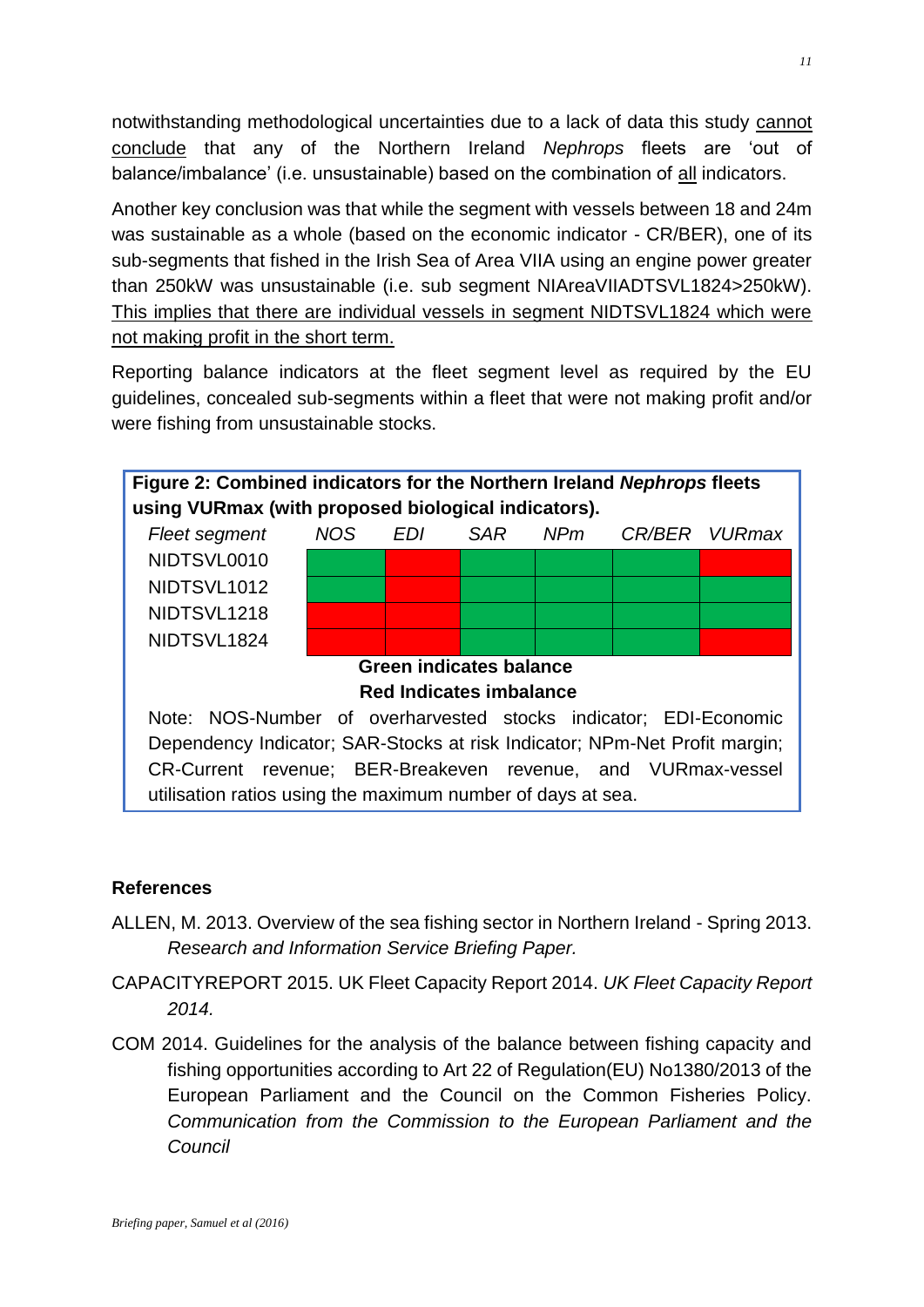notwithstanding methodological uncertainties due to a lack of data this study cannot conclude that any of the Northern Ireland *Nephrops* fleets are 'out of balance/imbalance' (i.e. unsustainable) based on the combination of all indicators.

Another key conclusion was that while the segment with vessels between 18 and 24m was sustainable as a whole (based on the economic indicator - CR/BER), one of its sub-segments that fished in the Irish Sea of Area VIIA using an engine power greater than 250kW was unsustainable (i.e. sub segment NIAreaVIIADTSVL1824>250kW). This implies that there are individual vessels in segment NIDTSVL1824 which were not making profit in the short term.

Reporting balance indicators at the fleet segment level as required by the EU guidelines, concealed sub-segments within a fleet that were not making profit and/or were fishing from unsustainable stocks.



## **References**

- <span id="page-10-0"></span>ALLEN, M. 2013. Overview of the sea fishing sector in Northern Ireland - Spring 2013. *Research and Information Service Briefing Paper.*
- CAPACITYREPORT 2015. UK Fleet Capacity Report 2014. *UK Fleet Capacity Report 2014.*
- COM 2014. Guidelines for the analysis of the balance between fishing capacity and fishing opportunities according to Art 22 of Regulation(EU) No1380/2013 of the European Parliament and the Council on the Common Fisheries Policy. *Communication from the Commission to the European Parliament and the Council*